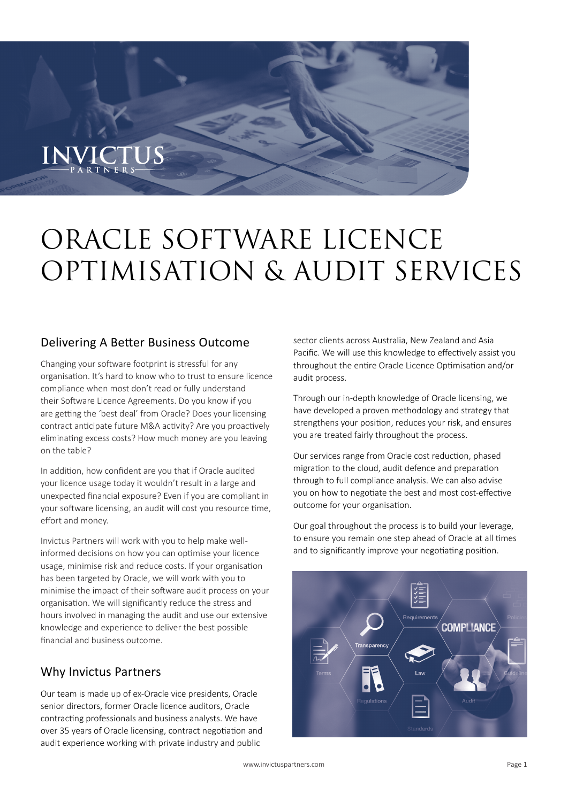# ORACLE SOFTWARE LICENCE OPTIMISATION & AUDIT SERVICES

## Delivering A Better Business Outcome

Changing your software footprint is stressful for any organisation. It's hard to know who to trust to ensure licence compliance when most don't read or fully understand their Software Licence Agreements. Do you know if you are getting the 'best deal' from Oracle? Does your licensing contract anticipate future M&A activity? Are you proactively eliminating excess costs? How much money are you leaving on the table?

In addition, how confident are you that if Oracle audited your licence usage today it wouldn't result in a large and unexpected financial exposure? Even if you are compliant in your software licensing, an audit will cost you resource time, effort and money.

Invictus Partners will work with you to help make wellinformed decisions on how you can optimise your licence usage, minimise risk and reduce costs. If your organisation has been targeted by Oracle, we will work with you to minimise the impact of their software audit process on your organisation. We will significantly reduce the stress and hours involved in managing the audit and use our extensive knowledge and experience to deliver the best possible financial and business outcome.

# Why Invictus Partners

Our team is made up of ex-Oracle vice presidents, Oracle senior directors, former Oracle licence auditors, Oracle contracting professionals and business analysts. We have over 35 years of Oracle licensing, contract negotiation and audit experience working with private industry and public

sector clients across Australia, New Zealand and Asia Pacific. We will use this knowledge to effectively assist you throughout the entire Oracle Licence Optimisation and/or audit process.

Through our in-depth knowledge of Oracle licensing, we have developed a proven methodology and strategy that strengthens your position, reduces your risk, and ensures you are treated fairly throughout the process.

Our services range from Oracle cost reduction, phased migration to the cloud, audit defence and preparation through to full compliance analysis. We can also advise you on how to negotiate the best and most cost-effective outcome for your organisation.

Our goal throughout the process is to build your leverage, to ensure you remain one step ahead of Oracle at all times and to significantly improve your negotiating position.